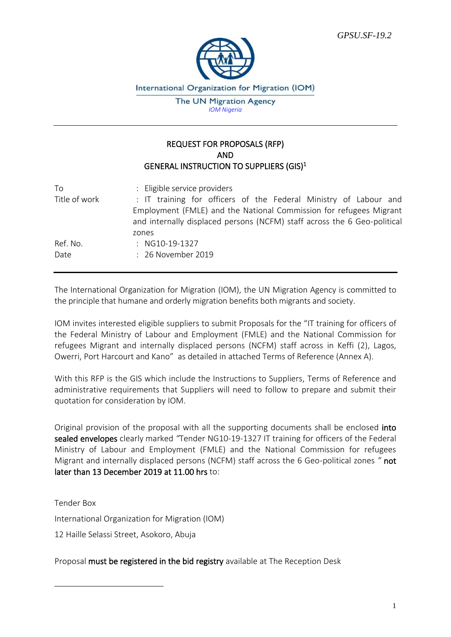

International Organization for Migration (IOM)

The UN Migration Agency *IOM Nigeria*

## REQUEST FOR PROPOSALS (RFP) AND GENERAL INSTRUCTION TO SUPPLIERS (GIS)<sup>1</sup>

| To<br>Title of work | : Eligible service providers<br>: IT training for officers of the Federal Ministry of Labour and<br>Employment (FMLE) and the National Commission for refugees Migrant<br>and internally displaced persons (NCFM) staff across the 6 Geo-political<br>zones |
|---------------------|-------------------------------------------------------------------------------------------------------------------------------------------------------------------------------------------------------------------------------------------------------------|
| Ref. No.            | $\therefore$ NG10-19-1327                                                                                                                                                                                                                                   |
| Date                | : 26 November 2019                                                                                                                                                                                                                                          |

The International Organization for Migration (IOM), the UN Migration Agency is committed to the principle that humane and orderly migration benefits both migrants and society.

IOM invites interested eligible suppliers to submit Proposals for the "IT training for officers of the Federal Ministry of Labour and Employment (FMLE) and the National Commission for refugees Migrant and internally displaced persons (NCFM) staff across in Keffi (2), Lagos, Owerri, Port Harcourt and Kano" as detailed in attached Terms of Reference (Annex A).

With this RFP is the GIS which include the Instructions to Suppliers, Terms of Reference and administrative requirements that Suppliers will need to follow to prepare and submit their quotation for consideration by IOM.

Original provision of the proposal with all the supporting documents shall be enclosed into sealed envelopes clearly marked *"*Tender NG10-19-1327 IT training for officers of the Federal Ministry of Labour and Employment (FMLE) and the National Commission for refugees Migrant and internally displaced persons (NCFM) staff across the 6 Geo-political zones *"* not later than 13 December 2019 at 11.00 hrs to:

Tender Box International Organization for Migration (IOM) 12 Haille Selassi Street, Asokoro, Abuja

Proposal must be registered in the bid registry available at The Reception Desk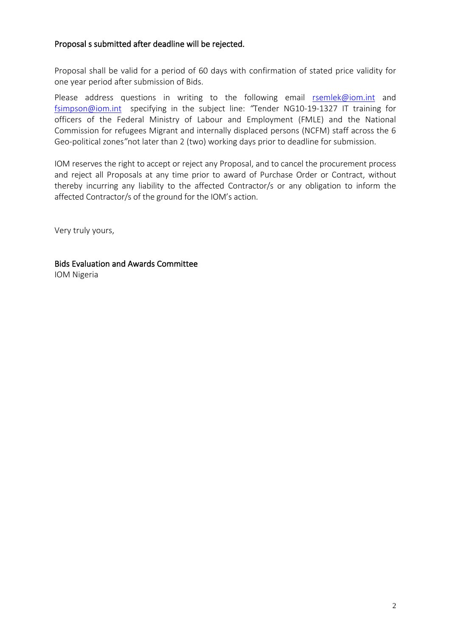### Proposal s submitted after deadline will be rejected.

Proposal shall be valid for a period of 60 days with confirmation of stated price validity for one year period after submission of Bids.

Please address questions in writing to the following email [rsemlek@iom.int](mailto:rsemlek@iom.int) and [fsimpson@iom.int](mailto:fsimpson@iom.int) specifying in the subject line: *"*Tender NG10-19-1327 IT training for officers of the Federal Ministry of Labour and Employment (FMLE) and the National Commission for refugees Migrant and internally displaced persons (NCFM) staff across the 6 Geo-political zones*"*not later than 2 (two) working days prior to deadline for submission.

IOM reserves the right to accept or reject any Proposal, and to cancel the procurement process and reject all Proposals at any time prior to award of Purchase Order or Contract, without thereby incurring any liability to the affected Contractor/s or any obligation to inform the affected Contractor/s of the ground for the IOM's action.

Very truly yours,

Bids Evaluation and Awards Committee IOM Nigeria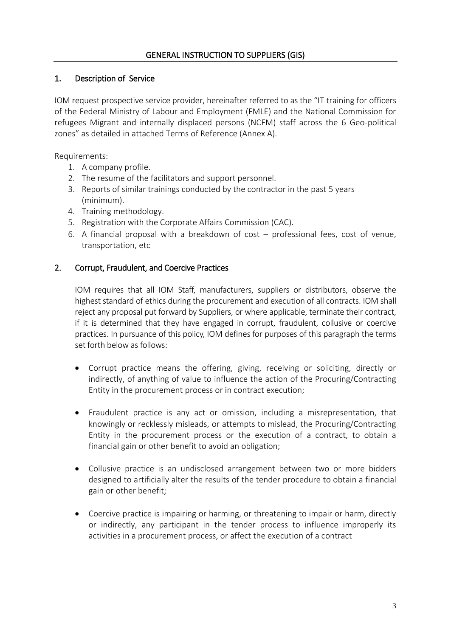# 1. Description of Service

IOM request prospective service provider, hereinafter referred to as the "IT training for officers of the Federal Ministry of Labour and Employment (FMLE) and the National Commission for refugees Migrant and internally displaced persons (NCFM) staff across the 6 Geo-political zones" as detailed in attached Terms of Reference (Annex A).

Requirements:

- 1. A company profile.
- 2. The resume of the facilitators and support personnel.
- 3. Reports of similar trainings conducted by the contractor in the past 5 years (minimum).
- 4. Training methodology.
- 5. Registration with the Corporate Affairs Commission (CAC).
- 6. A financial proposal with a breakdown of cost professional fees, cost of venue, transportation, etc

## 2. Corrupt, Fraudulent, and Coercive Practices

IOM requires that all IOM Staff, manufacturers, suppliers or distributors, observe the highest standard of ethics during the procurement and execution of all contracts. IOM shall reject any proposal put forward by Suppliers, or where applicable, terminate their contract, if it is determined that they have engaged in corrupt, fraudulent, collusive or coercive practices. In pursuance of this policy, IOM defines for purposes of this paragraph the terms set forth below as follows:

- Corrupt practice means the offering, giving, receiving or soliciting, directly or indirectly, of anything of value to influence the action of the Procuring/Contracting Entity in the procurement process or in contract execution;
- Fraudulent practice is any act or omission, including a misrepresentation, that knowingly or recklessly misleads, or attempts to mislead, the Procuring/Contracting Entity in the procurement process or the execution of a contract, to obtain a financial gain or other benefit to avoid an obligation;
- Collusive practice is an undisclosed arrangement between two or more bidders designed to artificially alter the results of the tender procedure to obtain a financial gain or other benefit;
- Coercive practice is impairing or harming, or threatening to impair or harm, directly or indirectly, any participant in the tender process to influence improperly its activities in a procurement process, or affect the execution of a contract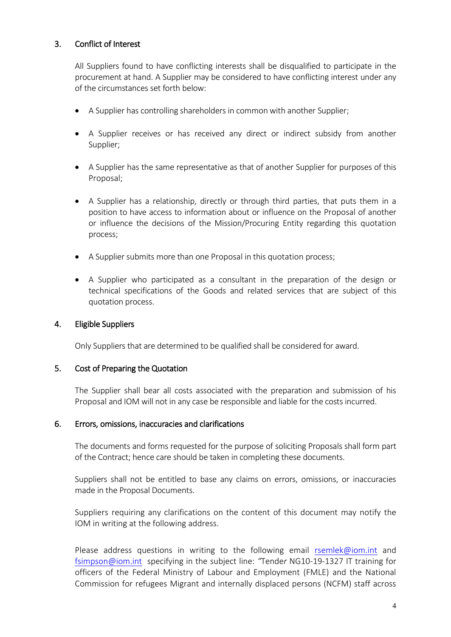## 3. Conflict of Interest

All Suppliers found to have conflicting interests shall be disqualified to participate in the procurement at hand. A Supplier may be considered to have conflicting interest under any of the circumstances set forth below:

- A Supplier has controlling shareholders in common with another Supplier;
- A Supplier receives or has received any direct or indirect subsidy from another Supplier;
- A Supplier has the same representative as that of another Supplier for purposes of this Proposal;
- A Supplier has a relationship, directly or through third parties, that puts them in a position to have access to information about or influence on the Proposal of another or influence the decisions of the Mission/Procuring Entity regarding this quotation process;
- A Supplier submits more than one Proposal in this quotation process;
- A Supplier who participated as a consultant in the preparation of the design or technical specifications of the Goods and related services that are subject of this quotation process.

### 4. Eligible Suppliers

Only Suppliers that are determined to be qualified shall be considered for award.

#### 5. Cost of Preparing the Quotation

The Supplier shall bear all costs associated with the preparation and submission of his Proposal and IOM will not in any case be responsible and liable for the costs incurred.

#### 6. Errors, omissions, inaccuracies and clarifications

The documents and forms requested for the purpose of soliciting Proposals shall form part of the Contract; hence care should be taken in completing these documents.

Suppliers shall not be entitled to base any claims on errors, omissions, or inaccuracies made in the Proposal Documents.

Suppliers requiring any clarifications on the content of this document may notify the IOM in writing at the following address.

Please address questions in writing to the following email [rsemlek@iom.int](mailto:rsemlek@iom.int) and [fsimpson@iom.int](mailto:fsimpson@iom.int) specifying in the subject line: *"*Tende*r* NG10-19-1327 IT training for officers of the Federal Ministry of Labour and Employment (FMLE) and the National Commission for refugees Migrant and internally displaced persons (NCFM) staff across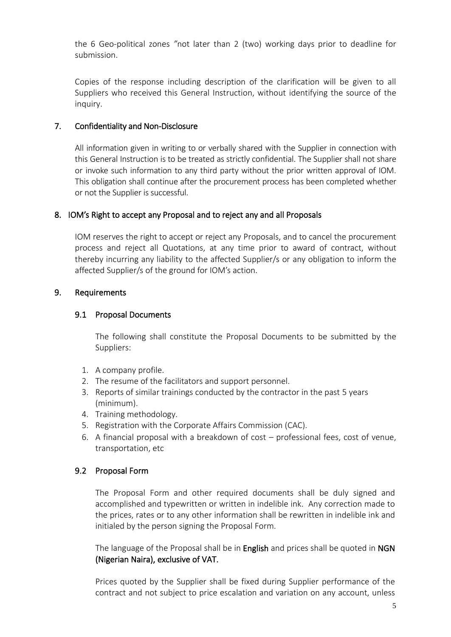the 6 Geo-political zones *"*not later than 2 (two) working days prior to deadline for submission.

Copies of the response including description of the clarification will be given to all Suppliers who received this General Instruction, without identifying the source of the inquiry.

### 7. Confidentiality and Non-Disclosure

All information given in writing to or verbally shared with the Supplier in connection with this General Instruction is to be treated as strictly confidential. The Supplier shall not share or invoke such information to any third party without the prior written approval of IOM. This obligation shall continue after the procurement process has been completed whether or not the Supplier is successful.

## 8. IOM's Right to accept any Proposal and to reject any and all Proposals

 IOM reserves the right to accept or reject any Proposals, and to cancel the procurement process and reject all Quotations, at any time prior to award of contract, without thereby incurring any liability to the affected Supplier/s or any obligation to inform the affected Supplier/s of the ground for IOM's action.

### 9. Requirements

## 9.1 Proposal Documents

The following shall constitute the Proposal Documents to be submitted by the Suppliers:

- 1. A company profile.
- 2. The resume of the facilitators and support personnel.
- 3. Reports of similar trainings conducted by the contractor in the past 5 years (minimum).
- 4. Training methodology.
- 5. Registration with the Corporate Affairs Commission (CAC).
- 6. A financial proposal with a breakdown of cost professional fees, cost of venue, transportation, etc

# 9.2 Proposal Form

The Proposal Form and other required documents shall be duly signed and accomplished and typewritten or written in indelible ink. Any correction made to the prices, rates or to any other information shall be rewritten in indelible ink and initialed by the person signing the Proposal Form.

The language of the Proposal shall be in English and prices shall be quoted in NGN (Nigerian Naira), exclusive of VAT.

Prices quoted by the Supplier shall be fixed during Supplier performance of the contract and not subject to price escalation and variation on any account, unless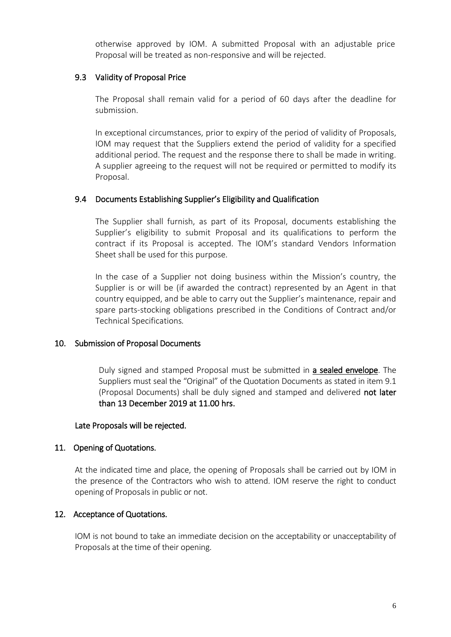otherwise approved by IOM. A submitted Proposal with an adjustable price Proposal will be treated as non-responsive and will be rejected.

### 9.3 Validity of Proposal Price

The Proposal shall remain valid for a period of 60 days after the deadline for submission.

In exceptional circumstances, prior to expiry of the period of validity of Proposals, IOM may request that the Suppliers extend the period of validity for a specified additional period. The request and the response there to shall be made in writing. A supplier agreeing to the request will not be required or permitted to modify its Proposal.

### 9.4 Documents Establishing Supplier's Eligibility and Qualification

The Supplier shall furnish, as part of its Proposal, documents establishing the Supplier's eligibility to submit Proposal and its qualifications to perform the contract if its Proposal is accepted. The IOM's standard Vendors Information Sheet shall be used for this purpose.

In the case of a Supplier not doing business within the Mission's country, the Supplier is or will be (if awarded the contract) represented by an Agent in that country equipped, and be able to carry out the Supplier's maintenance, repair and spare parts-stocking obligations prescribed in the Conditions of Contract and/or Technical Specifications*.*

### 10. Submission of Proposal Documents

Duly signed and stamped Proposal must be submitted in a sealed envelope. The Suppliers must seal the "Original" of the Quotation Documents as stated in item 9.1 (Proposal Documents) shall be duly signed and stamped and delivered not later than 13 December 2019 at 11.00 hrs.

#### Late Proposals will be rejected.

### 11. Opening of Quotations.

At the indicated time and place, the opening of Proposals shall be carried out by IOM in the presence of the Contractors who wish to attend. IOM reserve the right to conduct opening of Proposals in public or not.

### 12. Acceptance of Quotations.

IOM is not bound to take an immediate decision on the acceptability or unacceptability of Proposals at the time of their opening.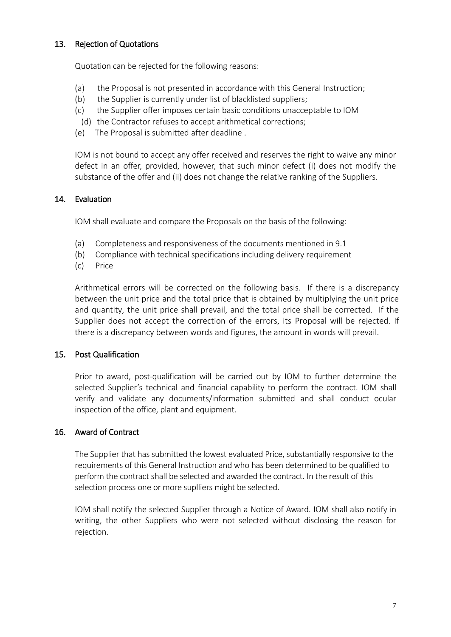## 13. Rejection of Quotations

Quotation can be rejected for the following reasons:

- (a) the Proposal is not presented in accordance with this General Instruction;
- (b) the Supplier is currently under list of blacklisted suppliers;
- (c) the Supplier offer imposes certain basic conditions unacceptable to IOM
- (d) the Contractor refuses to accept arithmetical corrections;
- (e) The Proposal is submitted after deadline .

IOM is not bound to accept any offer received and reserves the right to waive any minor defect in an offer, provided, however, that such minor defect (i) does not modify the substance of the offer and (ii) does not change the relative ranking of the Suppliers.

### 14. Evaluation

IOM shall evaluate and compare the Proposals on the basis of the following:

- (a) Completeness and responsiveness of the documents mentioned in 9.1
- (b) Compliance with technical specifications including delivery requirement
- (c) Price

Arithmetical errors will be corrected on the following basis. If there is a discrepancy between the unit price and the total price that is obtained by multiplying the unit price and quantity, the unit price shall prevail, and the total price shall be corrected. If the Supplier does not accept the correction of the errors, its Proposal will be rejected. If there is a discrepancy between words and figures, the amount in words will prevail.

### 15. Post Qualification

Prior to award, post-qualification will be carried out by IOM to further determine the selected Supplier's technical and financial capability to perform the contract. IOM shall verify and validate any documents/information submitted and shall conduct ocular inspection of the office, plant and equipment.

### 16. Award of Contract

The Supplier that has submitted the lowest evaluated Price, substantially responsive to the requirements of this General Instruction and who has been determined to be qualified to perform the contract shall be selected and awarded the contract. In the result of this selection process one or more suplliers might be selected.

IOM shall notify the selected Supplier through a Notice of Award. IOM shall also notify in writing, the other Suppliers who were not selected without disclosing the reason for rejection.